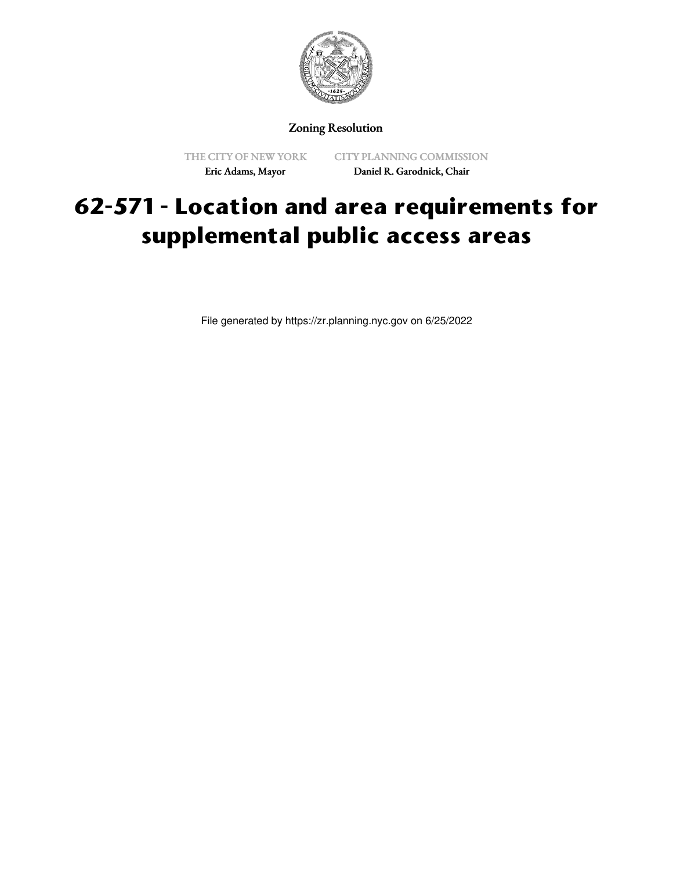

Zoning Resolution

THE CITY OF NEW YORK Eric Adams, Mayor

CITY PLANNING COMMISSION Daniel R. Garodnick, Chair

## **62-571 - Location and area requirements for supplemental public access areas**

File generated by https://zr.planning.nyc.gov on 6/25/2022